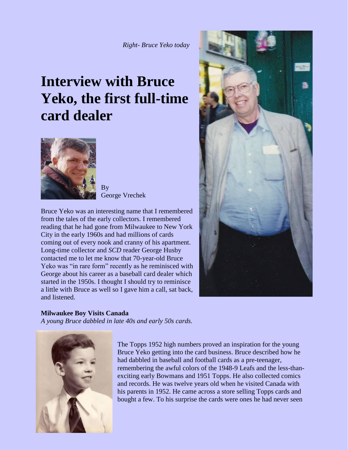# **Interview with Bruce Yeko, the first full-time card dealer**



By George Vrechek

Bruce Yeko was an interesting name that I remembered from the tales of the early collectors. I remembered reading that he had gone from Milwaukee to New York City in the early 1960s and had millions of cards coming out of every nook and cranny of his apartment. Long-time collector and *SCD* reader George Husby contacted me to let me know that 70-year-old Bruce Yeko was "in rare form" recently as he reminisced with George about his career as a baseball card dealer which started in the 1950s. I thought I should try to reminisce a little with Bruce as well so I gave him a call, sat back, and listened.

#### **Milwaukee Boy Visits Canada**

*A young Bruce dabbled in late 40s and early 50s cards.*



The Topps 1952 high numbers proved an inspiration for the young Bruce Yeko getting into the card business. Bruce described how he had dabbled in baseball and football cards as a pre-teenager, remembering the awful colors of the 1948-9 Leafs and the less-thanexciting early Bowmans and 1951 Topps. He also collected comics and records. He was twelve years old when he visited Canada with his parents in 1952. He came across a store selling Topps cards and bought a few. To his surprise the cards were ones he had never seen

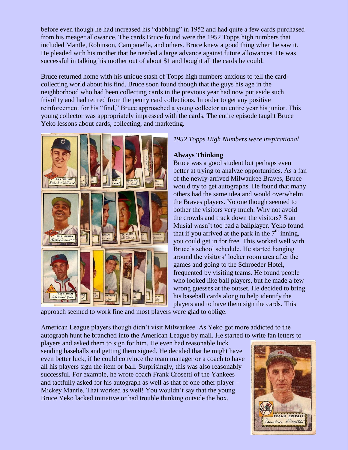before even though he had increased his "dabbling" in 1952 and had quite a few cards purchased from his meager allowance. The cards Bruce found were the 1952 Topps high numbers that included Mantle, Robinson, Campanella, and others. Bruce knew a good thing when he saw it. He pleaded with his mother that he needed a large advance against future allowances. He was successful in talking his mother out of about \$1 and bought all the cards he could.

Bruce returned home with his unique stash of Topps high numbers anxious to tell the cardcollecting world about his find. Bruce soon found though that the guys his age in the neighborhood who had been collecting cards in the previous year had now put aside such frivolity and had retired from the penny card collections. In order to get any positive reinforcement for his "find," Bruce approached a young collector an entire year his junior. This young collector was appropriately impressed with the cards. The entire episode taught Bruce Yeko lessons about cards, collecting, and marketing.



## *1952 Topps High Numbers were inspirational*

### **Always Thinking**

Bruce was a good student but perhaps even better at trying to analyze opportunities. As a fan of the newly-arrived Milwaukee Braves, Bruce would try to get autographs. He found that many others had the same idea and would overwhelm the Braves players. No one though seemed to bother the visitors very much. Why not avoid the crowds and track down the visitors? Stan Musial wasn't too bad a ballplayer. Yeko found that if you arrived at the park in the  $7<sup>th</sup>$  inning, you could get in for free. This worked well with Bruce's school schedule. He started hanging around the visitors' locker room area after the games and going to the Schroeder Hotel, frequented by visiting teams. He found people who looked like ball players, but he made a few wrong guesses at the outset. He decided to bring his baseball cards along to help identify the players and to have them sign the cards. This

approach seemed to work fine and most players were glad to oblige.

American League players though didn't visit Milwaukee. As Yeko got more addicted to the autograph hunt he branched into the American League by mail. He started to write fan letters to

players and asked them to sign for him. He even had reasonable luck sending baseballs and getting them signed. He decided that he might have even better luck, if he could convince the team manager or a coach to have all his players sign the item or ball. Surprisingly, this was also reasonably successful. For example, he wrote coach Frank Crosetti of the Yankees and tactfully asked for his autograph as well as that of one other player – Mickey Mantle. That worked as well! You wouldn't say that the young Bruce Yeko lacked initiative or had trouble thinking outside the box.

![](_page_1_Picture_9.jpeg)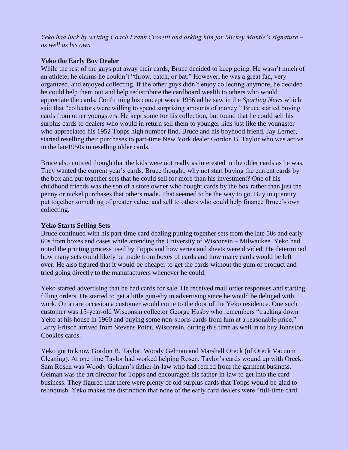*Yeko had luck by writing Coach Frank Crosetti and asking him for Mickey Mantle's signature – as well as his own*

#### **Yeko the Early Boy Dealer**

While the rest of the guys put away their cards, Bruce decided to keep going. He wasn't much of an athlete; he claims he couldn't "throw, catch, or bat." However, he was a great fan, very organized, and enjoyed collecting. If the other guys didn't enjoy collecting anymore, he decided he could help them out and help redistribute the cardboard wealth to others who would appreciate the cards. Confirming his concept was a 1956 ad he saw in the *Sporting News* which said that "collectors were willing to spend surprising amounts of money." Bruce started buying cards from other youngsters. He kept some for his collection, but found that he could sell his surplus cards to dealers who would in return sell them to younger kids just like the youngster who appreciated his 1952 Topps high number find. Bruce and his boyhood friend, Jay Lerner, started reselling their purchases to part-time New York dealer Gordon B. Taylor who was active in the late1950s in reselling older cards.

Bruce also noticed though that the kids were not really as interested in the older cards as he was. They wanted the current year's cards. Bruce thought, why not start buying the current cards by the box and put together sets that he could sell for more than his investment? One of his childhood friends was the son of a store owner who bought cards by the box rather than just the penny or nickel purchases that others made. That seemed to be the way to go. Buy in quantity, put together something of greater value, and sell to others who could help finance Bruce's own collecting.

#### **Yeko Starts Selling Sets**

Bruce continued with his part-time card dealing putting together sets from the late 50s and early 60s from boxes and cases while attending the University of Wisconsin – Milwaukee. Yeko had noted the printing process used by Topps and how series and sheets were divided. He determined how many sets could likely be made from boxes of cards and how many cards would be left over. He also figured that it would be cheaper to get the cards without the gum or product and tried going directly to the manufacturers whenever he could.

Yeko started advertising that he had cards for sale. He received mail order responses and starting filling orders. He started to get a little gun-shy in advertising since he would be deluged with work. On a rare occasion a customer would come to the door of the Yeko residence. One such customer was 15-year-old Wisconsin collector George Husby who remembers "tracking down Yeko at his house in 1960 and buying some non-sports cards from him at a reasonable price." Larry Fritsch arrived from Stevens Point, Wisconsin, during this time as well in to buy Johnston Cookies cards.

Yeko got to know Gordon B. Taylor, Woody Gelman and Marshall Oreck (of Oreck Vacuum Cleaning). At one time Taylor had worked helping Rosen. Taylor's cards wound up with Oreck. Sam Rosen was Woody Gelman's father-in-law who had retired from the garment business. Gelman was the art director for Topps and encouraged his father-in-law to get into the card business. They figured that there were plenty of old surplus cards that Topps would be glad to relinquish. Yeko makes the distinction that none of the early card dealers were "full-time card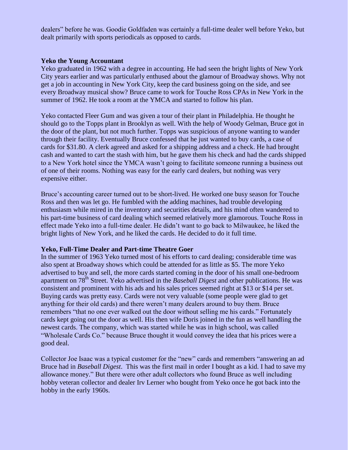dealers" before he was. Goodie Goldfaden was certainly a full-time dealer well before Yeko, but dealt primarily with sports periodicals as opposed to cards.

#### **Yeko the Young Accountant**

Yeko graduated in 1962 with a degree in accounting. He had seen the bright lights of New York City years earlier and was particularly enthused about the glamour of Broadway shows. Why not get a job in accounting in New York City, keep the card business going on the side, and see every Broadway musical show? Bruce came to work for Touche Ross CPAs in New York in the summer of 1962. He took a room at the YMCA and started to follow his plan.

Yeko contacted Fleer Gum and was given a tour of their plant in Philadelphia. He thought he should go to the Topps plant in Brooklyn as well. With the help of Woody Gelman, Bruce got in the door of the plant, but not much further. Topps was suspicious of anyone wanting to wander through their facility. Eventually Bruce confessed that he just wanted to buy cards, a case of cards for \$31.80. A clerk agreed and asked for a shipping address and a check. He had brought cash and wanted to cart the stash with him, but he gave them his check and had the cards shipped to a New York hotel since the YMCA wasn't going to facilitate someone running a business out of one of their rooms. Nothing was easy for the early card dealers, but nothing was very expensive either.

Bruce's accounting career turned out to be short-lived. He worked one busy season for Touche Ross and then was let go. He fumbled with the adding machines, had trouble developing enthusiasm while mired in the inventory and securities details, and his mind often wandered to his part-time business of card dealing which seemed relatively more glamorous. Touche Ross in effect made Yeko into a full-time dealer. He didn't want to go back to Milwaukee, he liked the bright lights of New York, and he liked the cards. He decided to do it full time.

#### **Yeko, Full-Time Dealer and Part-time Theatre Goer**

In the summer of 1963 Yeko turned most of his efforts to card dealing; considerable time was also spent at Broadway shows which could be attended for as little as \$5. The more Yeko advertised to buy and sell, the more cards started coming in the door of his small one-bedroom apartment on 78<sup>th</sup> Street. Yeko advertised in the *Baseball Digest* and other publications. He was consistent and prominent with his ads and his sales prices seemed right at \$13 or \$14 per set. Buying cards was pretty easy. Cards were not very valuable (some people were glad to get anything for their old cards) and there weren't many dealers around to buy them. Bruce remembers "that no one ever walked out the door without selling me his cards." Fortunately cards kept going out the door as well. His then wife Doris joined in the fun as well handling the newest cards. The company, which was started while he was in high school, was called "Wholesale Cards Co." because Bruce thought it would convey the idea that his prices were a good deal.

Collector Joe Isaac was a typical customer for the "new" cards and remembers "answering an ad Bruce had in *Baseball Digest*. This was the first mail in order I bought as a kid. I had to save my allowance money." But there were other adult collectors who found Bruce as well including hobby veteran collector and dealer Irv Lerner who bought from Yeko once he got back into the hobby in the early 1960s.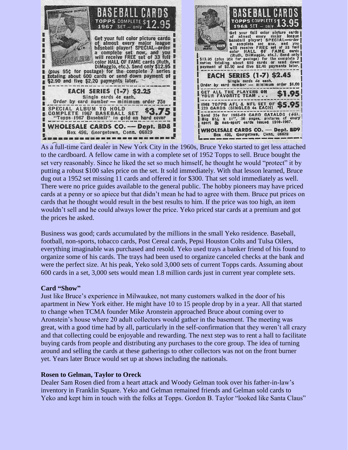![](_page_4_Picture_0.jpeg)

As a full-time card dealer in New York City in the 1960s, Bruce Yeko started to get less attached to the cardboard. A fellow came in with a complete set of 1952 Topps to sell. Bruce bought the set very reasonably. Since he liked the set so much himself, he thought he would "protect" it by putting a robust \$100 sales price on the set. It sold immediately. With that lesson learned, Bruce dug out a 1952 set missing 11 cards and offered it for \$300. That set sold immediately as well. There were no price guides available to the general public. The hobby pioneers may have priced cards at a penny or so apiece but that didn't mean he had to agree with them. Bruce put prices on cards that he thought would result in the best results to him. If the price was too high, an item wouldn't sell and he could always lower the price. Yeko priced star cards at a premium and got the prices he asked.

Business was good; cards accumulated by the millions in the small Yeko residence. Baseball, football, non-sports, tobacco cards, Post Cereal cards, Pepsi Houston Colts and Tulsa Oilers, everything imaginable was purchased and resold. Yeko used trays a banker friend of his found to organize some of his cards. The trays had been used to organize canceled checks at the bank and were the perfect size. At his peak, Yeko sold 3,000 sets of current Topps cards. Assuming about 600 cards in a set, 3,000 sets would mean 1.8 million cards just in current year complete sets.

#### **Card "Show"**

Just like Bruce's experience in Milwaukee, not many customers walked in the door of his apartment in New York either. He might have 10 to 15 people drop by in a year. All that started to change when TCMA founder Mike Aronstein approached Bruce about coming over to Aronstein's house where 20 adult collectors would gather in the basement. The meeting was great, with a good time had by all, particularly in the self-confirmation that they weren't all crazy and that collecting could be enjoyable and rewarding. The next step was to rent a hall to facilitate buying cards from people and distributing any purchases to the core group. The idea of turning around and selling the cards at these gatherings to other collectors was not on the front burner yet. Years later Bruce would set up at shows including the nationals.

#### **Rosen to Gelman, Taylor to Oreck**

Dealer Sam Rosen died from a heart attack and Woody Gelman took over his father-in-law's inventory in Franklin Square. Yeko and Gelman remained friends and Gelman sold cards to Yeko and kept him in touch with the folks at Topps. Gordon B. Taylor "looked like Santa Claus"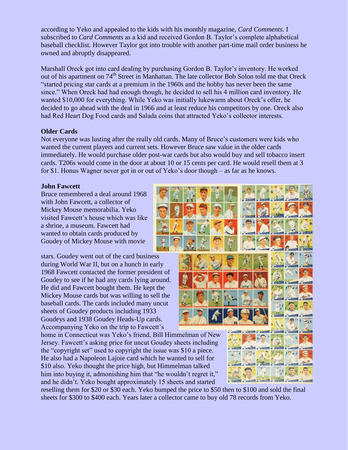according to Yeko and appealed to the kids with his monthly magazine, *Card Comments*. I subscribed to *Card Comments* as a kid and received Gordon B. Taylor's complete alphabetical baseball checklist. However Taylor got into trouble with another part-time mail order business he owned and abruptly disappeared.

Marshall Oreck got into card dealing by purchasing Gordon B. Taylor's inventory. He worked out of his apartment on 74<sup>th</sup> Street in Manhattan. The late collector Bob Solon told me that Oreck "started pricing star cards at a premium in the 1960s and the hobby has never been the same since." When Oreck had had enough though, he decided to sell his 4 million card inventory. He wanted \$10,000 for everything. While Yeko was initially lukewarm about Oreck's offer, he decided to go ahead with the deal in 1966 and at least reduce his competitors by one. Oreck also had Red Heart Dog Food cards and Salada coins that attracted Yeko's collector interests.

### **Older Cards**

Not everyone was lusting after the really old cards. Many of Bruce's customers were kids who wanted the current players and current sets. However Bruce saw value in the older cards immediately. He would purchase older post-war cards but also would buy and sell tobacco insert cards. T206s would come in the door at about 10 or 15 cents per card. He would resell them at 3 for \$1. Honus Wagner never got in or out of Yeko's door though – as far as he knows.

### **John Fawcett**

Bruce remembered a deal around 1968 with John Fawcett, a collector of Mickey Mouse memorabilia. Yeko visited Fawcett's house which was like a shrine, a museum. Fawcett had wanted to obtain cards produced by Goudey of Mickey Mouse with movie

stars. Goudey went out of the card business during World War II, but on a hunch in early 1968 Fawcett contacted the former president of Goudey to see if he had any cards lying around. He did and Fawcett bought them. He kept the Mickey Mouse cards but was willing to sell the baseball cards. The cards included many uncut sheets of Goudey products including 1933 Goudeys and 1938 Goudey Heads-Up cards. Accompanying Yeko on the trip to Fawcett's

home in Connecticut was Yeko's friend, Bill Himmelman of New Jersey. Fawcett's asking price for uncut Goudey sheets including the "copyright set" used to copyright the issue was \$10 a piece. He also had a Napoleon Lajoie card which he wanted to sell for \$10 also. Yeko thought the price high, but Himmelman talked him into buying it, admonishing him that "he wouldn't regret it," and he didn't. Yeko bought approximately 15 sheets and started

reselling them for \$20 or \$30 each. Yeko bumped the price to \$50 then to \$100 and sold the final sheets for \$300 to \$400 each. Years later a collector came to buy old 78 records from Yeko.

![](_page_5_Picture_9.jpeg)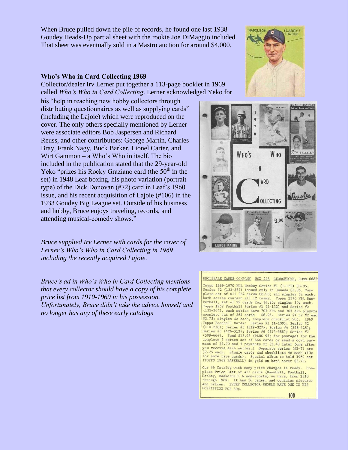When Bruce pulled down the pile of records, he found one last 1938 Goudey Heads-Up partial sheet with the rookie Joe DiMaggio included. That sheet was eventually sold in a Mastro auction for around \$4,000.

#### **Who's Who in Card Collecting 1969**

Collector/dealer Irv Lerner put together a 113-page booklet in 1969 called *Who's Who in Card Collecting*. Lerner acknowledged Yeko for

his "help in reaching new hobby collectors through distributing questionnaires as well as supplying cards" (including the Lajoie) which were reproduced on the cover. The only others specially mentioned by Lerner were associate editors Bob Jaspersen and Richard Reuss, and other contributors: George Martin, Charles Bray, Frank Nagy, Buck Barker, Lionel Carter, and Wirt Gammon – a Who's Who in itself. The bio included in the publication stated that the 29-year-old Yeko "prizes his Rocky Graziano card (the  $50<sup>th</sup>$  in the set) in 1948 Leaf boxing, his photo variation (portrait type) of the Dick Donovan (#72) card in Leaf's 1960 issue, and his recent acquisition of Lajoie (#106) in the 1933 Goudey Big League set. Outside of his business and hobby, Bruce enjoys traveling, records, and attending musical-comedy shows."

*Bruce supplied Irv Lerner with cards for the cover of Lerner's Who's Who in Card Collecting in 1969 including the recently acquired Lajoie.*

*Bruce's ad in Who's Who in Card Collecting mentions that every collector should have a copy of his complete price list from 1910-1969 in his possession. Unfortunately, Bruce didn't take the advice himself and no longer has any of these early catalogs*

![](_page_6_Picture_6.jpeg)

![](_page_6_Picture_7.jpeg)

#### WHOLESALE CARDS COMPANY BOX 496 GEORGETOWN, CONN.0682

Topps 1969-1970 NHL Hockey Series #1 (1-132) \$3.95,<br>Series #2 (133-264) issued only in Canada \$5.95. Complete set of all 264 cards \$8.95; all singles 5¢ each, point series contain all 12 teams. Topps 1970 NBA Bas-<br>ketball, set of 99 cards for \$4.95; singles 100 each.<br>Topps 1969 Football Series #1 (1-132) and Series #2<br>(133-264), each series have 70% NFL and 30% AFL players complete set of 264 cards - \$6.95. Series #1 or #2 eac \$3.75; singles 4¢ each, complete checklist 20¢. 1969<br>Topps Baseball Cards: Series #1 (1-109); Series #2 (110–218); Series #3 (219–327); Series #4 (328–425);<br>Series #5 (426–512); Series #6 (513–588); Series #7  $(589-664)$ . Send \$13.95 (PLUS 95c for postage) for the complete 7 series set of 664 cards or send a down payment of \$2.90 and 5 payments of \$2.40 later (one after you receive each series.) Separate series (#1-7) are \$2.25 each. Single cards and checklists 4¢ each (10¢ for some rare cards). Special album to hold 1969 set (TOPPS 1969 BASEBALL) in gold on hard cover \$3.75.

Our #6 Catalog with many price changes is ready. Complete Price List of all cards (Baseball, Football, Hockey, Basketball & non-sports) we have, from 1910<br>through 1969. It has 36 pages, and contains pictures<br>and prices. EVERY COLLECTOR SHOULD HAVE ONE IN HIS POSSESSION FOR 50¢.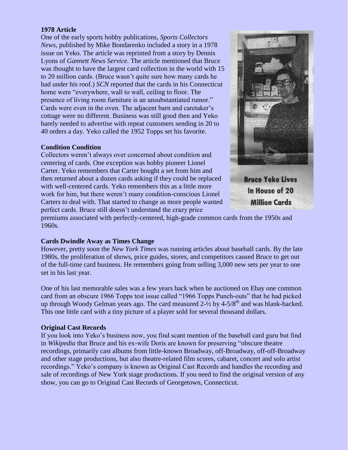### **1978 Article**

One of the early sports hobby publications, *Sports Collectors News,* published by Mike Bondarenko included a story in a 1978 issue on Yeko. The article was reprinted from a story by Dennis Lyons of *Gannett News Service*. The article mentioned that Bruce was thought to have the largest card collection in the world with 15 to 20 million cards. (Bruce wasn't quite sure how many cards he had under his roof.) *SCN* reported that the cards in his Connecticut home were "everywhere, wall to wall, ceiling to floor. The presence of living room furniture is an unsubstantiated rumor." Cards were even in the oven. The adjacent barn and caretaker's cottage were no different. Business was still good then and Yeko barely needed to advertise with repeat customers sending in 20 to 40 orders a day. Yeko called the 1952 Topps set his favorite.

#### **Condition Condition**

Collectors weren't always over concerned about condition and centering of cards. One exception was hobby pioneer Lionel Carter. Yeko remembers that Carter bought a set from him and then returned about a dozen cards asking if they could be replaced with well-centered cards. Yeko remembers this as a little more work for him, but there weren't many condition-conscious Lionel Carters to deal with. That started to change as more people wanted perfect cards. Bruce still doesn't understand the crazy price

![](_page_7_Picture_4.jpeg)

**Bruce Yeko Lives** In House of 20 **Million Cards** 

premiums associated with perfectly-centered, high-grade common cards from the 1950s and 1960s.

#### **Cards Dwindle Away as Times Change**

However, pretty soon the *New York Times* was running articles about baseball cards. By the late 1980s, the proliferation of shows, price guides, stores, and competitors caused Bruce to get out of the full-time card business. He remembers going from selling 3,000 new sets per year to one set in his last year.

One of his last memorable sales was a few years back when he auctioned on Ebay one common card from an obscure 1966 Topps test issue called "1966 Topps Punch-outs" that he had picked up through Woody Gelman years ago. The card measured  $2\frac{1}{2}$  by 4-5/8<sup>th</sup> and was blank-backed. This one little card with a tiny picture of a player sold for several thousand dollars.

#### **Original Cast Records**

If you look into Yeko's business now, you find scant mention of the baseball card guru but find in *Wikipedia* that Bruce and his ex-wife Doris are known for preserving "obscure theatre recordings, primarily [cast albums](http://en.wikipedia.org/wiki/Cast_recording) from little-known [Broadway,](http://en.wikipedia.org/wiki/Broadway_theatre) [off-Broadway,](http://en.wikipedia.org/wiki/Off-Broadway) [off-off-Broadway](http://en.wikipedia.org/wiki/Off-off-Broadway) and other stage productions, but also theatre-related film scores, cabaret, concert and solo artist recordings." Yeko's company is known as Original Cast Records and handles the recording and sale of recordings of New York stage productions. If you need to find the original version of any show, you can go to Original Cast Records of Georgetown, Connecticut.